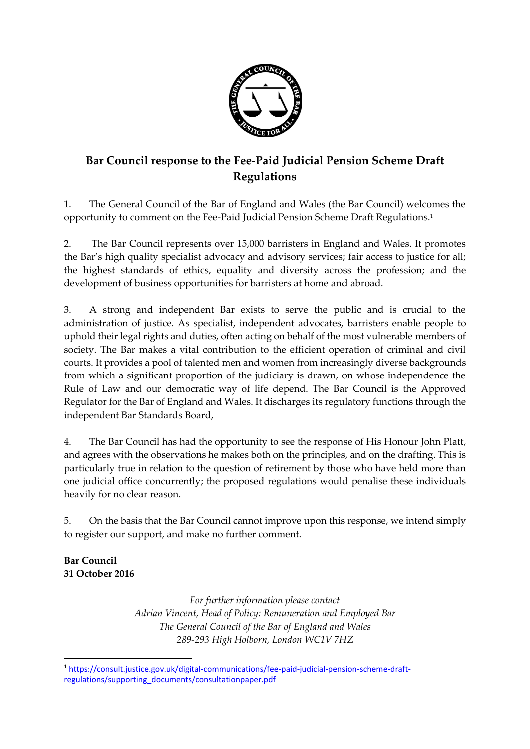

## **Bar Council response to the Fee-Paid Judicial Pension Scheme Draft Regulations**

1. The General Council of the Bar of England and Wales (the Bar Council) welcomes the opportunity to comment on the Fee-Paid Judicial Pension Scheme Draft Regulations.<sup>1</sup>

2. The Bar Council represents over 15,000 barristers in England and Wales. It promotes the Bar's high quality specialist advocacy and advisory services; fair access to justice for all; the highest standards of ethics, equality and diversity across the profession; and the development of business opportunities for barristers at home and abroad.

3. A strong and independent Bar exists to serve the public and is crucial to the administration of justice. As specialist, independent advocates, barristers enable people to uphold their legal rights and duties, often acting on behalf of the most vulnerable members of society. The Bar makes a vital contribution to the efficient operation of criminal and civil courts. It provides a pool of talented men and women from increasingly diverse backgrounds from which a significant proportion of the judiciary is drawn, on whose independence the Rule of Law and our democratic way of life depend. The Bar Council is the Approved Regulator for the Bar of England and Wales. It discharges its regulatory functions through the independent Bar Standards Board,

4. The Bar Council has had the opportunity to see the response of His Honour John Platt, and agrees with the observations he makes both on the principles, and on the drafting. This is particularly true in relation to the question of retirement by those who have held more than one judicial office concurrently; the proposed regulations would penalise these individuals heavily for no clear reason.

5. On the basis that the Bar Council cannot improve upon this response, we intend simply to register our support, and make no further comment.

**Bar Council 31 October 2016**

> *For further information please contact Adrian Vincent, Head of Policy: Remuneration and Employed Bar The General Council of the Bar of England and Wales 289-293 High Holborn, London WC1V 7HZ*

**<sup>.</sup>** <sup>1</sup> [https://consult.justice.gov.uk/digital-communications/fee-paid-judicial-pension-scheme-draft](https://consult.justice.gov.uk/digital-communications/fee-paid-judicial-pension-scheme-draft-regulations/supporting_documents/consultationpaper.pdf)[regulations/supporting\\_documents/consultationpaper.pdf](https://consult.justice.gov.uk/digital-communications/fee-paid-judicial-pension-scheme-draft-regulations/supporting_documents/consultationpaper.pdf)